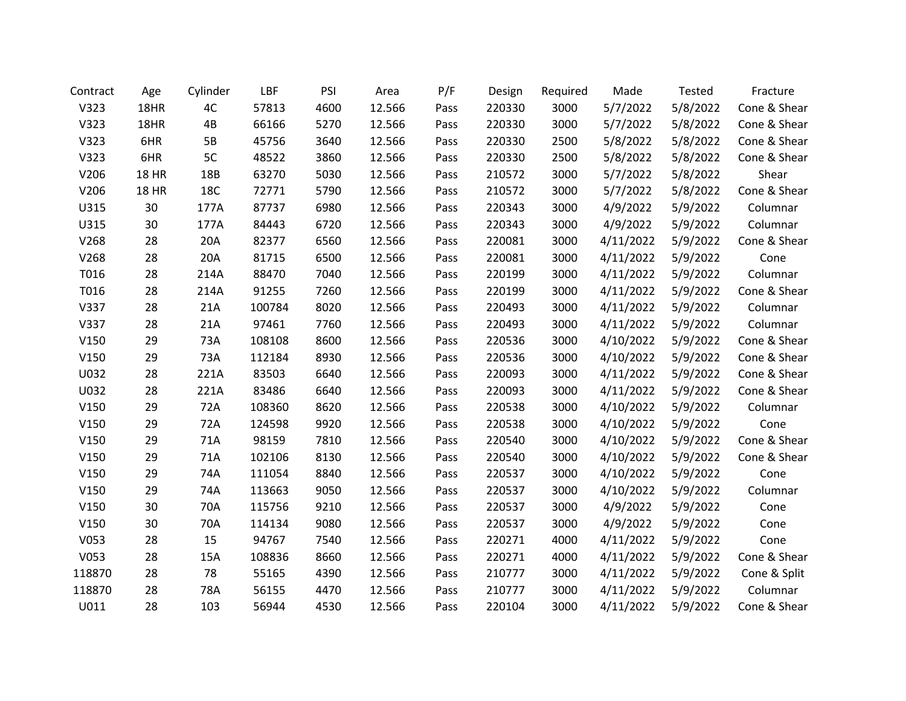| Contract | Age          | Cylinder   | LBF    | PSI  | Area   | P/F  | Design | Required | Made      | Tested   | Fracture     |
|----------|--------------|------------|--------|------|--------|------|--------|----------|-----------|----------|--------------|
| V323     | 18HR         | 4C         | 57813  | 4600 | 12.566 | Pass | 220330 | 3000     | 5/7/2022  | 5/8/2022 | Cone & Shear |
| V323     | 18HR         | 4B         | 66166  | 5270 | 12.566 | Pass | 220330 | 3000     | 5/7/2022  | 5/8/2022 | Cone & Shear |
| V323     | 6HR          | 5B         | 45756  | 3640 | 12.566 | Pass | 220330 | 2500     | 5/8/2022  | 5/8/2022 | Cone & Shear |
| V323     | 6HR          | 5C         | 48522  | 3860 | 12.566 | Pass | 220330 | 2500     | 5/8/2022  | 5/8/2022 | Cone & Shear |
| V206     | <b>18 HR</b> | 18B        | 63270  | 5030 | 12.566 | Pass | 210572 | 3000     | 5/7/2022  | 5/8/2022 | Shear        |
| V206     | <b>18 HR</b> | <b>18C</b> | 72771  | 5790 | 12.566 | Pass | 210572 | 3000     | 5/7/2022  | 5/8/2022 | Cone & Shear |
| U315     | 30           | 177A       | 87737  | 6980 | 12.566 | Pass | 220343 | 3000     | 4/9/2022  | 5/9/2022 | Columnar     |
| U315     | 30           | 177A       | 84443  | 6720 | 12.566 | Pass | 220343 | 3000     | 4/9/2022  | 5/9/2022 | Columnar     |
| V268     | 28           | 20A        | 82377  | 6560 | 12.566 | Pass | 220081 | 3000     | 4/11/2022 | 5/9/2022 | Cone & Shear |
| V268     | 28           | 20A        | 81715  | 6500 | 12.566 | Pass | 220081 | 3000     | 4/11/2022 | 5/9/2022 | Cone         |
| T016     | 28           | 214A       | 88470  | 7040 | 12.566 | Pass | 220199 | 3000     | 4/11/2022 | 5/9/2022 | Columnar     |
| T016     | 28           | 214A       | 91255  | 7260 | 12.566 | Pass | 220199 | 3000     | 4/11/2022 | 5/9/2022 | Cone & Shear |
| V337     | 28           | 21A        | 100784 | 8020 | 12.566 | Pass | 220493 | 3000     | 4/11/2022 | 5/9/2022 | Columnar     |
| V337     | 28           | 21A        | 97461  | 7760 | 12.566 | Pass | 220493 | 3000     | 4/11/2022 | 5/9/2022 | Columnar     |
| V150     | 29           | 73A        | 108108 | 8600 | 12.566 | Pass | 220536 | 3000     | 4/10/2022 | 5/9/2022 | Cone & Shear |
| V150     | 29           | 73A        | 112184 | 8930 | 12.566 | Pass | 220536 | 3000     | 4/10/2022 | 5/9/2022 | Cone & Shear |
| U032     | 28           | 221A       | 83503  | 6640 | 12.566 | Pass | 220093 | 3000     | 4/11/2022 | 5/9/2022 | Cone & Shear |
| U032     | 28           | 221A       | 83486  | 6640 | 12.566 | Pass | 220093 | 3000     | 4/11/2022 | 5/9/2022 | Cone & Shear |
| V150     | 29           | 72A        | 108360 | 8620 | 12.566 | Pass | 220538 | 3000     | 4/10/2022 | 5/9/2022 | Columnar     |
| V150     | 29           | 72A        | 124598 | 9920 | 12.566 | Pass | 220538 | 3000     | 4/10/2022 | 5/9/2022 | Cone         |
| V150     | 29           | 71A        | 98159  | 7810 | 12.566 | Pass | 220540 | 3000     | 4/10/2022 | 5/9/2022 | Cone & Shear |
| V150     | 29           | 71A        | 102106 | 8130 | 12.566 | Pass | 220540 | 3000     | 4/10/2022 | 5/9/2022 | Cone & Shear |
| V150     | 29           | 74A        | 111054 | 8840 | 12.566 | Pass | 220537 | 3000     | 4/10/2022 | 5/9/2022 | Cone         |
| V150     | 29           | 74A        | 113663 | 9050 | 12.566 | Pass | 220537 | 3000     | 4/10/2022 | 5/9/2022 | Columnar     |
| V150     | 30           | 70A        | 115756 | 9210 | 12.566 | Pass | 220537 | 3000     | 4/9/2022  | 5/9/2022 | Cone         |
| V150     | 30           | 70A        | 114134 | 9080 | 12.566 | Pass | 220537 | 3000     | 4/9/2022  | 5/9/2022 | Cone         |
| V053     | 28           | 15         | 94767  | 7540 | 12.566 | Pass | 220271 | 4000     | 4/11/2022 | 5/9/2022 | Cone         |
| V053     | 28           | 15A        | 108836 | 8660 | 12.566 | Pass | 220271 | 4000     | 4/11/2022 | 5/9/2022 | Cone & Shear |
| 118870   | 28           | 78         | 55165  | 4390 | 12.566 | Pass | 210777 | 3000     | 4/11/2022 | 5/9/2022 | Cone & Split |
| 118870   | 28           | 78A        | 56155  | 4470 | 12.566 | Pass | 210777 | 3000     | 4/11/2022 | 5/9/2022 | Columnar     |
| U011     | 28           | 103        | 56944  | 4530 | 12.566 | Pass | 220104 | 3000     | 4/11/2022 | 5/9/2022 | Cone & Shear |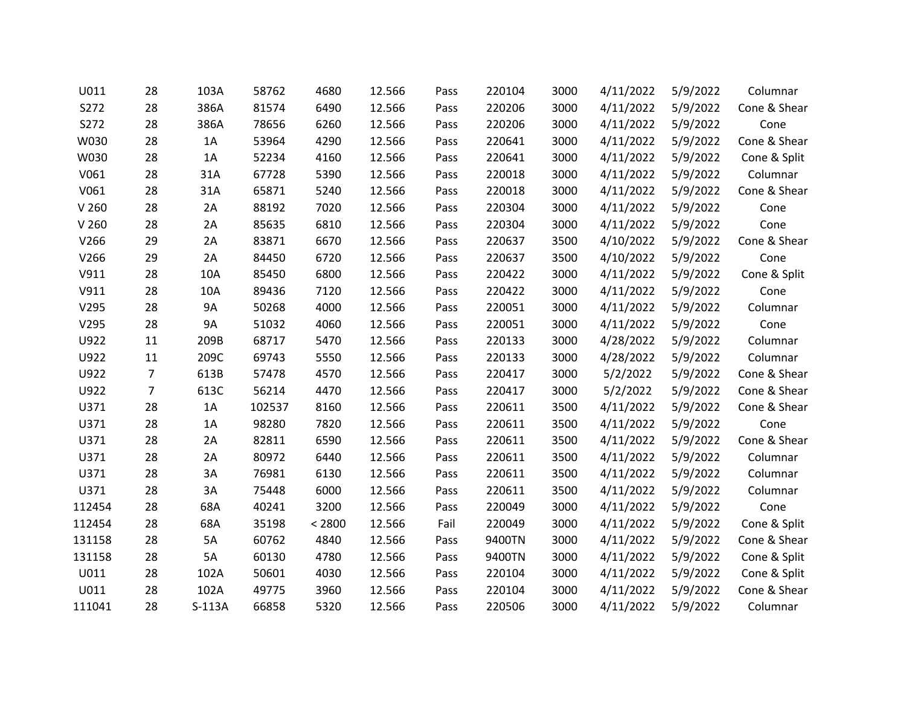| U011             | 28             | 103A      | 58762  | 4680   | 12.566 | Pass | 220104 | 3000 | 4/11/2022 | 5/9/2022 | Columnar     |
|------------------|----------------|-----------|--------|--------|--------|------|--------|------|-----------|----------|--------------|
| S272             | 28             | 386A      | 81574  | 6490   | 12.566 | Pass | 220206 | 3000 | 4/11/2022 | 5/9/2022 | Cone & Shear |
| S272             | 28             | 386A      | 78656  | 6260   | 12.566 | Pass | 220206 | 3000 | 4/11/2022 | 5/9/2022 | Cone         |
| W030             | 28             | 1A        | 53964  | 4290   | 12.566 | Pass | 220641 | 3000 | 4/11/2022 | 5/9/2022 | Cone & Shear |
| W030             | 28             | 1A        | 52234  | 4160   | 12.566 | Pass | 220641 | 3000 | 4/11/2022 | 5/9/2022 | Cone & Split |
| V061             | 28             | 31A       | 67728  | 5390   | 12.566 | Pass | 220018 | 3000 | 4/11/2022 | 5/9/2022 | Columnar     |
| V061             | 28             | 31A       | 65871  | 5240   | 12.566 | Pass | 220018 | 3000 | 4/11/2022 | 5/9/2022 | Cone & Shear |
| V <sub>260</sub> | 28             | 2A        | 88192  | 7020   | 12.566 | Pass | 220304 | 3000 | 4/11/2022 | 5/9/2022 | Cone         |
| V <sub>260</sub> | 28             | 2A        | 85635  | 6810   | 12.566 | Pass | 220304 | 3000 | 4/11/2022 | 5/9/2022 | Cone         |
| V266             | 29             | 2A        | 83871  | 6670   | 12.566 | Pass | 220637 | 3500 | 4/10/2022 | 5/9/2022 | Cone & Shear |
| V266             | 29             | 2A        | 84450  | 6720   | 12.566 | Pass | 220637 | 3500 | 4/10/2022 | 5/9/2022 | Cone         |
| V911             | 28             | 10A       | 85450  | 6800   | 12.566 | Pass | 220422 | 3000 | 4/11/2022 | 5/9/2022 | Cone & Split |
| V911             | 28             | 10A       | 89436  | 7120   | 12.566 | Pass | 220422 | 3000 | 4/11/2022 | 5/9/2022 | Cone         |
| V295             | 28             | <b>9A</b> | 50268  | 4000   | 12.566 | Pass | 220051 | 3000 | 4/11/2022 | 5/9/2022 | Columnar     |
| V295             | 28             | 9A        | 51032  | 4060   | 12.566 | Pass | 220051 | 3000 | 4/11/2022 | 5/9/2022 | Cone         |
| U922             | 11             | 209B      | 68717  | 5470   | 12.566 | Pass | 220133 | 3000 | 4/28/2022 | 5/9/2022 | Columnar     |
| U922             | 11             | 209C      | 69743  | 5550   | 12.566 | Pass | 220133 | 3000 | 4/28/2022 | 5/9/2022 | Columnar     |
| U922             | $\overline{7}$ | 613B      | 57478  | 4570   | 12.566 | Pass | 220417 | 3000 | 5/2/2022  | 5/9/2022 | Cone & Shear |
| U922             | $\overline{7}$ | 613C      | 56214  | 4470   | 12.566 | Pass | 220417 | 3000 | 5/2/2022  | 5/9/2022 | Cone & Shear |
| U371             | 28             | 1A        | 102537 | 8160   | 12.566 | Pass | 220611 | 3500 | 4/11/2022 | 5/9/2022 | Cone & Shear |
| U371             | 28             | 1A        | 98280  | 7820   | 12.566 | Pass | 220611 | 3500 | 4/11/2022 | 5/9/2022 | Cone         |
| U371             | 28             | 2A        | 82811  | 6590   | 12.566 | Pass | 220611 | 3500 | 4/11/2022 | 5/9/2022 | Cone & Shear |
| U371             | 28             | 2A        | 80972  | 6440   | 12.566 | Pass | 220611 | 3500 | 4/11/2022 | 5/9/2022 | Columnar     |
| U371             | 28             | 3A        | 76981  | 6130   | 12.566 | Pass | 220611 | 3500 | 4/11/2022 | 5/9/2022 | Columnar     |
| U371             | 28             | 3A        | 75448  | 6000   | 12.566 | Pass | 220611 | 3500 | 4/11/2022 | 5/9/2022 | Columnar     |
| 112454           | 28             | 68A       | 40241  | 3200   | 12.566 | Pass | 220049 | 3000 | 4/11/2022 | 5/9/2022 | Cone         |
| 112454           | 28             | 68A       | 35198  | < 2800 | 12.566 | Fail | 220049 | 3000 | 4/11/2022 | 5/9/2022 | Cone & Split |
| 131158           | 28             | 5A        | 60762  | 4840   | 12.566 | Pass | 9400TN | 3000 | 4/11/2022 | 5/9/2022 | Cone & Shear |
| 131158           | 28             | 5A        | 60130  | 4780   | 12.566 | Pass | 9400TN | 3000 | 4/11/2022 | 5/9/2022 | Cone & Split |
| U011             | 28             | 102A      | 50601  | 4030   | 12.566 | Pass | 220104 | 3000 | 4/11/2022 | 5/9/2022 | Cone & Split |
| U011             | 28             | 102A      | 49775  | 3960   | 12.566 | Pass | 220104 | 3000 | 4/11/2022 | 5/9/2022 | Cone & Shear |
| 111041           | 28             | $S-113A$  | 66858  | 5320   | 12.566 | Pass | 220506 | 3000 | 4/11/2022 | 5/9/2022 | Columnar     |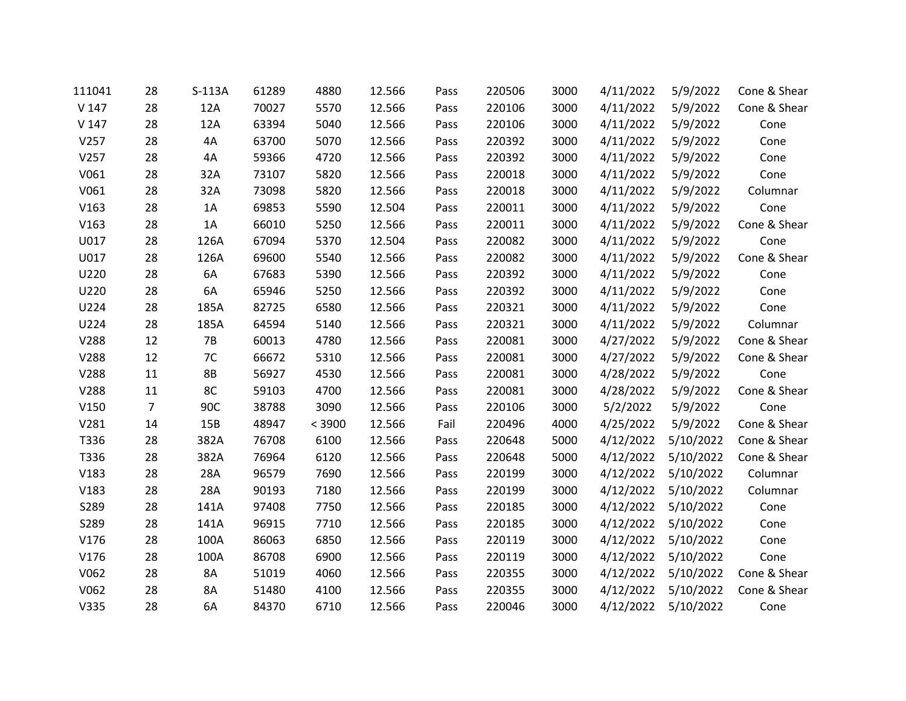| 111041           | 28             | $S-113A$  | 61289 | 4880   | 12.566 | Pass | 220506 | 3000 | 4/11/2022 | 5/9/2022            | Cone & Shear |
|------------------|----------------|-----------|-------|--------|--------|------|--------|------|-----------|---------------------|--------------|
| V <sub>147</sub> | 28             | 12A       | 70027 | 5570   | 12.566 | Pass | 220106 | 3000 | 4/11/2022 | 5/9/2022            | Cone & Shear |
| V <sub>147</sub> | 28             | 12A       | 63394 | 5040   | 12.566 | Pass | 220106 | 3000 | 4/11/2022 | 5/9/2022            | Cone         |
| V257             | 28             | 4A        | 63700 | 5070   | 12.566 | Pass | 220392 | 3000 | 4/11/2022 | 5/9/2022            | Cone         |
| V257             | 28             | 4A        | 59366 | 4720   | 12.566 | Pass | 220392 | 3000 | 4/11/2022 | 5/9/2022            | Cone         |
| V061             | 28             | 32A       | 73107 | 5820   | 12.566 | Pass | 220018 | 3000 | 4/11/2022 | 5/9/2022            | Cone         |
| V061             | 28             | 32A       | 73098 | 5820   | 12.566 | Pass | 220018 | 3000 | 4/11/2022 | 5/9/2022            | Columnar     |
| V163             | 28             | 1A        | 69853 | 5590   | 12.504 | Pass | 220011 | 3000 | 4/11/2022 | 5/9/2022            | Cone         |
| V163             | 28             | 1A        | 66010 | 5250   | 12.566 | Pass | 220011 | 3000 | 4/11/2022 | 5/9/2022            | Cone & Shear |
| U017             | 28             | 126A      | 67094 | 5370   | 12.504 | Pass | 220082 | 3000 | 4/11/2022 | 5/9/2022            | Cone         |
| U017             | 28             | 126A      | 69600 | 5540   | 12.566 | Pass | 220082 | 3000 | 4/11/2022 | 5/9/2022            | Cone & Shear |
| U220             | 28             | 6A        | 67683 | 5390   | 12.566 | Pass | 220392 | 3000 | 4/11/2022 | 5/9/2022            | Cone         |
| U220             | 28             | 6A        | 65946 | 5250   | 12.566 | Pass | 220392 | 3000 | 4/11/2022 | 5/9/2022            | Cone         |
| U224             | 28             | 185A      | 82725 | 6580   | 12.566 | Pass | 220321 | 3000 | 4/11/2022 | 5/9/2022            | Cone         |
| U224             | 28             | 185A      | 64594 | 5140   | 12.566 | Pass | 220321 | 3000 | 4/11/2022 | 5/9/2022            | Columnar     |
| V288             | 12             | <b>7B</b> | 60013 | 4780   | 12.566 | Pass | 220081 | 3000 | 4/27/2022 | 5/9/2022            | Cone & Shear |
| V288             | 12             | 7C        | 66672 | 5310   | 12.566 | Pass | 220081 | 3000 | 4/27/2022 | 5/9/2022            | Cone & Shear |
| V288             | 11             | <b>8B</b> | 56927 | 4530   | 12.566 | Pass | 220081 | 3000 | 4/28/2022 | 5/9/2022            | Cone         |
| V288             | 11             | 8C        | 59103 | 4700   | 12.566 | Pass | 220081 | 3000 | 4/28/2022 | 5/9/2022            | Cone & Shear |
| V150             | $\overline{7}$ | 90C       | 38788 | 3090   | 12.566 | Pass | 220106 | 3000 | 5/2/2022  | 5/9/2022            | Cone         |
| V281             | 14             | 15B       | 48947 | < 3900 | 12.566 | Fail | 220496 | 4000 | 4/25/2022 | 5/9/2022            | Cone & Shear |
| T336             | 28             | 382A      | 76708 | 6100   | 12.566 | Pass | 220648 | 5000 | 4/12/2022 | 5/10/2022           | Cone & Shear |
| T336             | 28             | 382A      | 76964 | 6120   | 12.566 | Pass | 220648 | 5000 | 4/12/2022 | 5/10/2022           | Cone & Shear |
| V183             | 28             | 28A       | 96579 | 7690   | 12.566 | Pass | 220199 | 3000 | 4/12/2022 | 5/10/2022           | Columnar     |
| V183             | 28             | 28A       | 90193 | 7180   | 12.566 | Pass | 220199 | 3000 | 4/12/2022 | 5/10/2022           | Columnar     |
| S289             | 28             | 141A      | 97408 | 7750   | 12.566 | Pass | 220185 | 3000 |           | 4/12/2022 5/10/2022 | Cone         |
| S289             | 28             | 141A      | 96915 | 7710   | 12.566 | Pass | 220185 | 3000 | 4/12/2022 | 5/10/2022           | Cone         |
| V176             | 28             | 100A      | 86063 | 6850   | 12.566 | Pass | 220119 | 3000 | 4/12/2022 | 5/10/2022           | Cone         |
| V176             | 28             | 100A      | 86708 | 6900   | 12.566 | Pass | 220119 | 3000 | 4/12/2022 | 5/10/2022           | Cone         |
| V062             | 28             | 8A        | 51019 | 4060   | 12.566 | Pass | 220355 | 3000 | 4/12/2022 | 5/10/2022           | Cone & Shear |
| V062             | 28             | 8A        | 51480 | 4100   | 12.566 | Pass | 220355 | 3000 | 4/12/2022 | 5/10/2022           | Cone & Shear |
| V335             | 28             | 6A        | 84370 | 6710   | 12.566 | Pass | 220046 | 3000 | 4/12/2022 | 5/10/2022           | Cone         |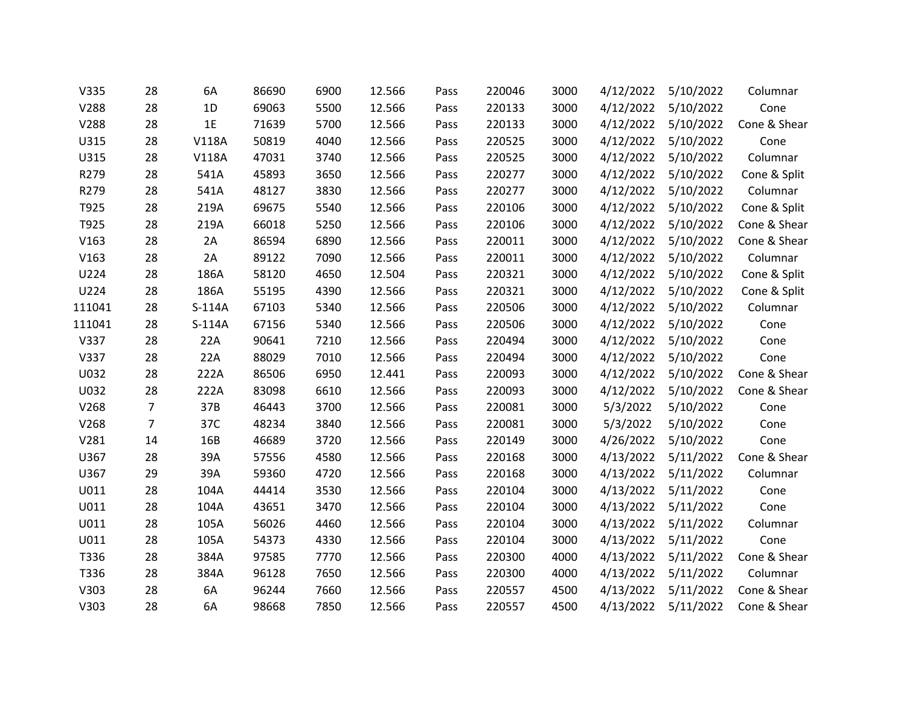| V335   | 28             | 6A           | 86690 | 6900 | 12.566 | Pass | 220046 | 3000 | 4/12/2022 | 5/10/2022           | Columnar     |
|--------|----------------|--------------|-------|------|--------|------|--------|------|-----------|---------------------|--------------|
| V288   | 28             | 1D           | 69063 | 5500 | 12.566 | Pass | 220133 | 3000 | 4/12/2022 | 5/10/2022           | Cone         |
| V288   | 28             | 1E           | 71639 | 5700 | 12.566 | Pass | 220133 | 3000 |           | 4/12/2022 5/10/2022 | Cone & Shear |
| U315   | 28             | V118A        | 50819 | 4040 | 12.566 | Pass | 220525 | 3000 | 4/12/2022 | 5/10/2022           | Cone         |
| U315   | 28             | <b>V118A</b> | 47031 | 3740 | 12.566 | Pass | 220525 | 3000 | 4/12/2022 | 5/10/2022           | Columnar     |
| R279   | 28             | 541A         | 45893 | 3650 | 12.566 | Pass | 220277 | 3000 | 4/12/2022 | 5/10/2022           | Cone & Split |
| R279   | 28             | 541A         | 48127 | 3830 | 12.566 | Pass | 220277 | 3000 | 4/12/2022 | 5/10/2022           | Columnar     |
| T925   | 28             | 219A         | 69675 | 5540 | 12.566 | Pass | 220106 | 3000 | 4/12/2022 | 5/10/2022           | Cone & Split |
| T925   | 28             | 219A         | 66018 | 5250 | 12.566 | Pass | 220106 | 3000 | 4/12/2022 | 5/10/2022           | Cone & Shear |
| V163   | 28             | 2A           | 86594 | 6890 | 12.566 | Pass | 220011 | 3000 | 4/12/2022 | 5/10/2022           | Cone & Shear |
| V163   | 28             | 2A           | 89122 | 7090 | 12.566 | Pass | 220011 | 3000 | 4/12/2022 | 5/10/2022           | Columnar     |
| U224   | 28             | 186A         | 58120 | 4650 | 12.504 | Pass | 220321 | 3000 | 4/12/2022 | 5/10/2022           | Cone & Split |
| U224   | 28             | 186A         | 55195 | 4390 | 12.566 | Pass | 220321 | 3000 | 4/12/2022 | 5/10/2022           | Cone & Split |
| 111041 | 28             | $S-114A$     | 67103 | 5340 | 12.566 | Pass | 220506 | 3000 | 4/12/2022 | 5/10/2022           | Columnar     |
| 111041 | 28             | $S-114A$     | 67156 | 5340 | 12.566 | Pass | 220506 | 3000 | 4/12/2022 | 5/10/2022           | Cone         |
| V337   | 28             | 22A          | 90641 | 7210 | 12.566 | Pass | 220494 | 3000 | 4/12/2022 | 5/10/2022           | Cone         |
| V337   | 28             | 22A          | 88029 | 7010 | 12.566 | Pass | 220494 | 3000 | 4/12/2022 | 5/10/2022           | Cone         |
| U032   | 28             | 222A         | 86506 | 6950 | 12.441 | Pass | 220093 | 3000 | 4/12/2022 | 5/10/2022           | Cone & Shear |
| U032   | 28             | 222A         | 83098 | 6610 | 12.566 | Pass | 220093 | 3000 | 4/12/2022 | 5/10/2022           | Cone & Shear |
| V268   | $\overline{7}$ | 37B          | 46443 | 3700 | 12.566 | Pass | 220081 | 3000 | 5/3/2022  | 5/10/2022           | Cone         |
| V268   | $\overline{7}$ | 37C          | 48234 | 3840 | 12.566 | Pass | 220081 | 3000 | 5/3/2022  | 5/10/2022           | Cone         |
| V281   | 14             | 16B          | 46689 | 3720 | 12.566 | Pass | 220149 | 3000 | 4/26/2022 | 5/10/2022           | Cone         |
| U367   | 28             | 39A          | 57556 | 4580 | 12.566 | Pass | 220168 | 3000 | 4/13/2022 | 5/11/2022           | Cone & Shear |
| U367   | 29             | 39A          | 59360 | 4720 | 12.566 | Pass | 220168 | 3000 | 4/13/2022 | 5/11/2022           | Columnar     |
| U011   | 28             | 104A         | 44414 | 3530 | 12.566 | Pass | 220104 | 3000 | 4/13/2022 | 5/11/2022           | Cone         |
| U011   | 28             | 104A         | 43651 | 3470 | 12.566 | Pass | 220104 | 3000 | 4/13/2022 | 5/11/2022           | Cone         |
| U011   | 28             | 105A         | 56026 | 4460 | 12.566 | Pass | 220104 | 3000 | 4/13/2022 | 5/11/2022           | Columnar     |
| U011   | 28             | 105A         | 54373 | 4330 | 12.566 | Pass | 220104 | 3000 | 4/13/2022 | 5/11/2022           | Cone         |
| T336   | 28             | 384A         | 97585 | 7770 | 12.566 | Pass | 220300 | 4000 | 4/13/2022 | 5/11/2022           | Cone & Shear |
| T336   | 28             | 384A         | 96128 | 7650 | 12.566 | Pass | 220300 | 4000 | 4/13/2022 | 5/11/2022           | Columnar     |
| V303   | 28             | 6A           | 96244 | 7660 | 12.566 | Pass | 220557 | 4500 | 4/13/2022 | 5/11/2022           | Cone & Shear |
| V303   | 28             | 6A           | 98668 | 7850 | 12.566 | Pass | 220557 | 4500 | 4/13/2022 | 5/11/2022           | Cone & Shear |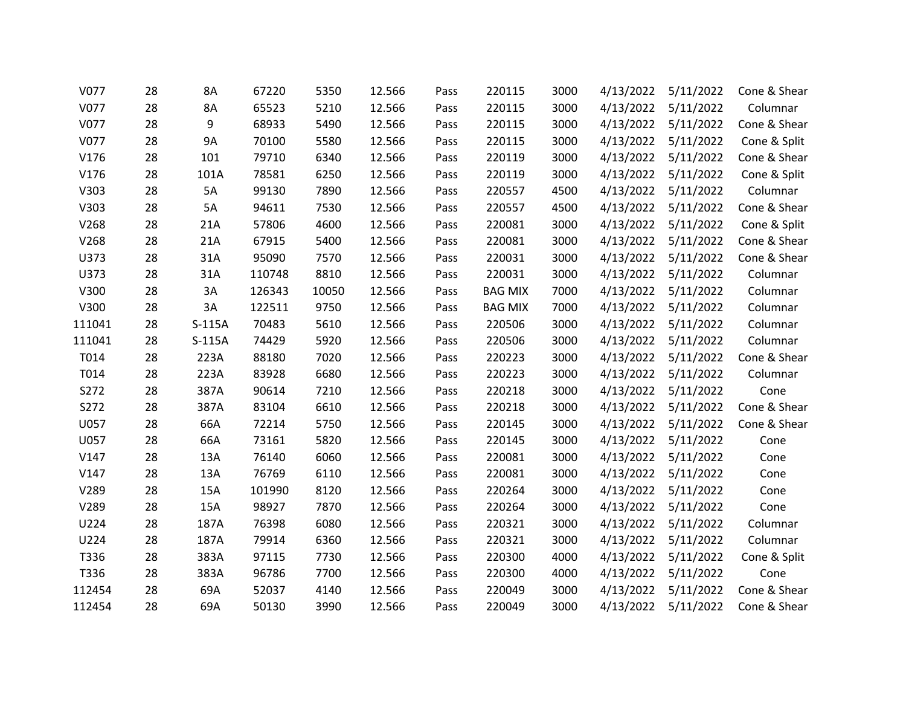| V077   | 28 | 8A       | 67220  | 5350  | 12.566 | Pass | 220115         | 3000 | 4/13/2022 | 5/11/2022           | Cone & Shear |
|--------|----|----------|--------|-------|--------|------|----------------|------|-----------|---------------------|--------------|
| V077   | 28 | 8A       | 65523  | 5210  | 12.566 | Pass | 220115         | 3000 | 4/13/2022 | 5/11/2022           | Columnar     |
| V077   | 28 | 9        | 68933  | 5490  | 12.566 | Pass | 220115         | 3000 |           | 4/13/2022 5/11/2022 | Cone & Shear |
| V077   | 28 | 9A       | 70100  | 5580  | 12.566 | Pass | 220115         | 3000 | 4/13/2022 | 5/11/2022           | Cone & Split |
| V176   | 28 | 101      | 79710  | 6340  | 12.566 | Pass | 220119         | 3000 | 4/13/2022 | 5/11/2022           | Cone & Shear |
| V176   | 28 | 101A     | 78581  | 6250  | 12.566 | Pass | 220119         | 3000 | 4/13/2022 | 5/11/2022           | Cone & Split |
| V303   | 28 | 5A       | 99130  | 7890  | 12.566 | Pass | 220557         | 4500 | 4/13/2022 | 5/11/2022           | Columnar     |
| V303   | 28 | 5A       | 94611  | 7530  | 12.566 | Pass | 220557         | 4500 | 4/13/2022 | 5/11/2022           | Cone & Shear |
| V268   | 28 | 21A      | 57806  | 4600  | 12.566 | Pass | 220081         | 3000 |           | 4/13/2022 5/11/2022 | Cone & Split |
| V268   | 28 | 21A      | 67915  | 5400  | 12.566 | Pass | 220081         | 3000 | 4/13/2022 | 5/11/2022           | Cone & Shear |
| U373   | 28 | 31A      | 95090  | 7570  | 12.566 | Pass | 220031         | 3000 | 4/13/2022 | 5/11/2022           | Cone & Shear |
| U373   | 28 | 31A      | 110748 | 8810  | 12.566 | Pass | 220031         | 3000 | 4/13/2022 | 5/11/2022           | Columnar     |
| V300   | 28 | 3A       | 126343 | 10050 | 12.566 | Pass | <b>BAG MIX</b> | 7000 | 4/13/2022 | 5/11/2022           | Columnar     |
| V300   | 28 | 3A       | 122511 | 9750  | 12.566 | Pass | <b>BAG MIX</b> | 7000 |           | 4/13/2022 5/11/2022 | Columnar     |
| 111041 | 28 | $S-115A$ | 70483  | 5610  | 12.566 | Pass | 220506         | 3000 | 4/13/2022 | 5/11/2022           | Columnar     |
| 111041 | 28 | $S-115A$ | 74429  | 5920  | 12.566 | Pass | 220506         | 3000 | 4/13/2022 | 5/11/2022           | Columnar     |
| T014   | 28 | 223A     | 88180  | 7020  | 12.566 | Pass | 220223         | 3000 | 4/13/2022 | 5/11/2022           | Cone & Shear |
| T014   | 28 | 223A     | 83928  | 6680  | 12.566 | Pass | 220223         | 3000 | 4/13/2022 | 5/11/2022           | Columnar     |
| S272   | 28 | 387A     | 90614  | 7210  | 12.566 | Pass | 220218         | 3000 | 4/13/2022 | 5/11/2022           | Cone         |
| S272   | 28 | 387A     | 83104  | 6610  | 12.566 | Pass | 220218         | 3000 |           | 4/13/2022 5/11/2022 | Cone & Shear |
| U057   | 28 | 66A      | 72214  | 5750  | 12.566 | Pass | 220145         | 3000 | 4/13/2022 | 5/11/2022           | Cone & Shear |
| U057   | 28 | 66A      | 73161  | 5820  | 12.566 | Pass | 220145         | 3000 | 4/13/2022 | 5/11/2022           | Cone         |
| V147   | 28 | 13A      | 76140  | 6060  | 12.566 | Pass | 220081         | 3000 | 4/13/2022 | 5/11/2022           | Cone         |
| V147   | 28 | 13A      | 76769  | 6110  | 12.566 | Pass | 220081         | 3000 | 4/13/2022 | 5/11/2022           | Cone         |
| V289   | 28 | 15A      | 101990 | 8120  | 12.566 | Pass | 220264         | 3000 | 4/13/2022 | 5/11/2022           | Cone         |
| V289   | 28 | 15A      | 98927  | 7870  | 12.566 | Pass | 220264         | 3000 |           | 4/13/2022 5/11/2022 | Cone         |
| U224   | 28 | 187A     | 76398  | 6080  | 12.566 | Pass | 220321         | 3000 | 4/13/2022 | 5/11/2022           | Columnar     |
| U224   | 28 | 187A     | 79914  | 6360  | 12.566 | Pass | 220321         | 3000 | 4/13/2022 | 5/11/2022           | Columnar     |
| T336   | 28 | 383A     | 97115  | 7730  | 12.566 | Pass | 220300         | 4000 | 4/13/2022 | 5/11/2022           | Cone & Split |
| T336   | 28 | 383A     | 96786  | 7700  | 12.566 | Pass | 220300         | 4000 | 4/13/2022 | 5/11/2022           | Cone         |
| 112454 | 28 | 69A      | 52037  | 4140  | 12.566 | Pass | 220049         | 3000 | 4/13/2022 | 5/11/2022           | Cone & Shear |
| 112454 | 28 | 69A      | 50130  | 3990  | 12.566 | Pass | 220049         | 3000 | 4/13/2022 | 5/11/2022           | Cone & Shear |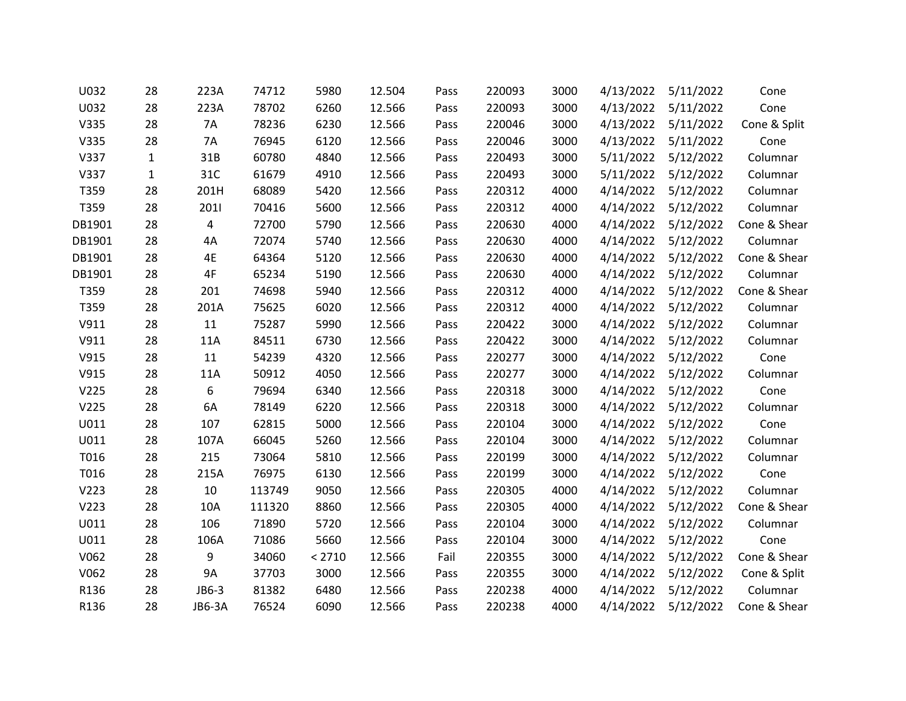| U032             | 28           | 223A          | 74712  | 5980   | 12.504 | Pass | 220093 | 3000 | 4/13/2022 | 5/11/2022 | Cone         |
|------------------|--------------|---------------|--------|--------|--------|------|--------|------|-----------|-----------|--------------|
| U032             | 28           | 223A          | 78702  | 6260   | 12.566 | Pass | 220093 | 3000 | 4/13/2022 | 5/11/2022 | Cone         |
| V335             | 28           | 7A            | 78236  | 6230   | 12.566 | Pass | 220046 | 3000 | 4/13/2022 | 5/11/2022 | Cone & Split |
| V335             | 28           | 7A            | 76945  | 6120   | 12.566 | Pass | 220046 | 3000 | 4/13/2022 | 5/11/2022 | Cone         |
| V337             | $\mathbf{1}$ | 31B           | 60780  | 4840   | 12.566 | Pass | 220493 | 3000 | 5/11/2022 | 5/12/2022 | Columnar     |
| V337             | $\mathbf{1}$ | 31C           | 61679  | 4910   | 12.566 | Pass | 220493 | 3000 | 5/11/2022 | 5/12/2022 | Columnar     |
| T359             | 28           | 201H          | 68089  | 5420   | 12.566 | Pass | 220312 | 4000 | 4/14/2022 | 5/12/2022 | Columnar     |
| T359             | 28           | 2011          | 70416  | 5600   | 12.566 | Pass | 220312 | 4000 | 4/14/2022 | 5/12/2022 | Columnar     |
| DB1901           | 28           | 4             | 72700  | 5790   | 12.566 | Pass | 220630 | 4000 | 4/14/2022 | 5/12/2022 | Cone & Shear |
| DB1901           | 28           | 4A            | 72074  | 5740   | 12.566 | Pass | 220630 | 4000 | 4/14/2022 | 5/12/2022 | Columnar     |
| DB1901           | 28           | 4E            | 64364  | 5120   | 12.566 | Pass | 220630 | 4000 | 4/14/2022 | 5/12/2022 | Cone & Shear |
| DB1901           | 28           | 4F            | 65234  | 5190   | 12.566 | Pass | 220630 | 4000 | 4/14/2022 | 5/12/2022 | Columnar     |
| T359             | 28           | 201           | 74698  | 5940   | 12.566 | Pass | 220312 | 4000 | 4/14/2022 | 5/12/2022 | Cone & Shear |
| T359             | 28           | 201A          | 75625  | 6020   | 12.566 | Pass | 220312 | 4000 | 4/14/2022 | 5/12/2022 | Columnar     |
| V911             | 28           | 11            | 75287  | 5990   | 12.566 | Pass | 220422 | 3000 | 4/14/2022 | 5/12/2022 | Columnar     |
| V911             | 28           | 11A           | 84511  | 6730   | 12.566 | Pass | 220422 | 3000 | 4/14/2022 | 5/12/2022 | Columnar     |
| V915             | 28           | 11            | 54239  | 4320   | 12.566 | Pass | 220277 | 3000 | 4/14/2022 | 5/12/2022 | Cone         |
| V915             | 28           | 11A           | 50912  | 4050   | 12.566 | Pass | 220277 | 3000 | 4/14/2022 | 5/12/2022 | Columnar     |
| V <sub>225</sub> | 28           | 6             | 79694  | 6340   | 12.566 | Pass | 220318 | 3000 | 4/14/2022 | 5/12/2022 | Cone         |
| V225             | 28           | 6A            | 78149  | 6220   | 12.566 | Pass | 220318 | 3000 | 4/14/2022 | 5/12/2022 | Columnar     |
| U011             | 28           | 107           | 62815  | 5000   | 12.566 | Pass | 220104 | 3000 | 4/14/2022 | 5/12/2022 | Cone         |
| U011             | 28           | 107A          | 66045  | 5260   | 12.566 | Pass | 220104 | 3000 | 4/14/2022 | 5/12/2022 | Columnar     |
| T016             | 28           | 215           | 73064  | 5810   | 12.566 | Pass | 220199 | 3000 | 4/14/2022 | 5/12/2022 | Columnar     |
| T016             | 28           | 215A          | 76975  | 6130   | 12.566 | Pass | 220199 | 3000 | 4/14/2022 | 5/12/2022 | Cone         |
| V223             | 28           | 10            | 113749 | 9050   | 12.566 | Pass | 220305 | 4000 | 4/14/2022 | 5/12/2022 | Columnar     |
| V223             | 28           | 10A           | 111320 | 8860   | 12.566 | Pass | 220305 | 4000 | 4/14/2022 | 5/12/2022 | Cone & Shear |
| U011             | 28           | 106           | 71890  | 5720   | 12.566 | Pass | 220104 | 3000 | 4/14/2022 | 5/12/2022 | Columnar     |
| U011             | 28           | 106A          | 71086  | 5660   | 12.566 | Pass | 220104 | 3000 | 4/14/2022 | 5/12/2022 | Cone         |
| V062             | 28           | 9             | 34060  | < 2710 | 12.566 | Fail | 220355 | 3000 | 4/14/2022 | 5/12/2022 | Cone & Shear |
| V062             | 28           | <b>9A</b>     | 37703  | 3000   | 12.566 | Pass | 220355 | 3000 | 4/14/2022 | 5/12/2022 | Cone & Split |
| R136             | 28           | JB6-3         | 81382  | 6480   | 12.566 | Pass | 220238 | 4000 | 4/14/2022 | 5/12/2022 | Columnar     |
| R136             | 28           | <b>JB6-3A</b> | 76524  | 6090   | 12.566 | Pass | 220238 | 4000 | 4/14/2022 | 5/12/2022 | Cone & Shear |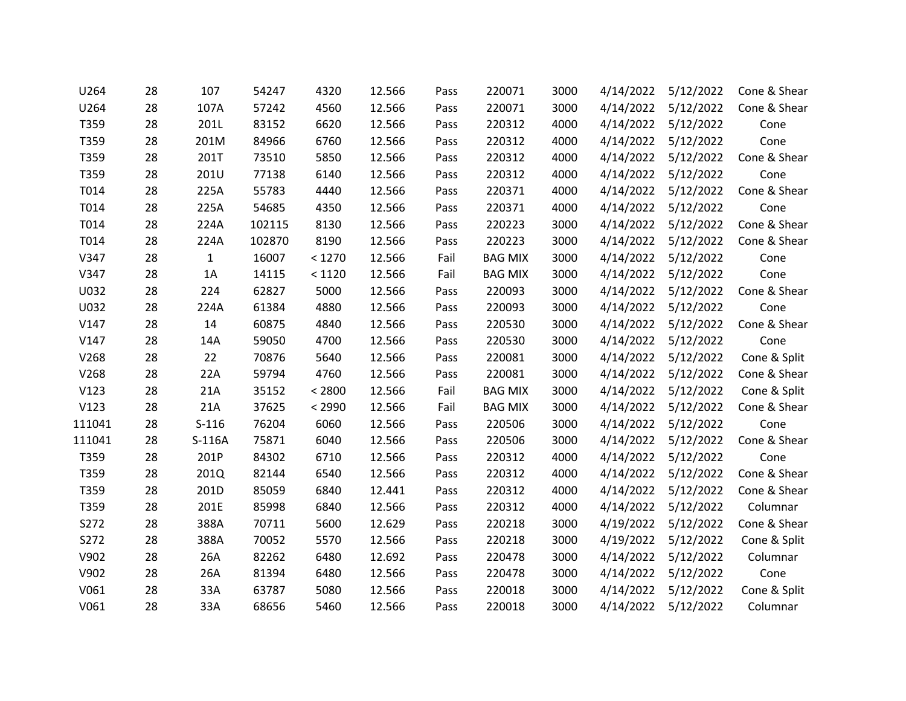| U264   | 28 | 107          | 54247  | 4320   | 12.566 | Pass | 220071         | 3000 | 4/14/2022 | 5/12/2022           | Cone & Shear |
|--------|----|--------------|--------|--------|--------|------|----------------|------|-----------|---------------------|--------------|
| U264   | 28 | 107A         | 57242  | 4560   | 12.566 | Pass | 220071         | 3000 | 4/14/2022 | 5/12/2022           | Cone & Shear |
| T359   | 28 | 201L         | 83152  | 6620   | 12.566 | Pass | 220312         | 4000 |           | 4/14/2022 5/12/2022 | Cone         |
| T359   | 28 | 201M         | 84966  | 6760   | 12.566 | Pass | 220312         | 4000 | 4/14/2022 | 5/12/2022           | Cone         |
| T359   | 28 | 201T         | 73510  | 5850   | 12.566 | Pass | 220312         | 4000 | 4/14/2022 | 5/12/2022           | Cone & Shear |
| T359   | 28 | 201U         | 77138  | 6140   | 12.566 | Pass | 220312         | 4000 | 4/14/2022 | 5/12/2022           | Cone         |
| T014   | 28 | 225A         | 55783  | 4440   | 12.566 | Pass | 220371         | 4000 | 4/14/2022 | 5/12/2022           | Cone & Shear |
| T014   | 28 | 225A         | 54685  | 4350   | 12.566 | Pass | 220371         | 4000 | 4/14/2022 | 5/12/2022           | Cone         |
| T014   | 28 | 224A         | 102115 | 8130   | 12.566 | Pass | 220223         | 3000 |           | 4/14/2022 5/12/2022 | Cone & Shear |
| T014   | 28 | 224A         | 102870 | 8190   | 12.566 | Pass | 220223         | 3000 | 4/14/2022 | 5/12/2022           | Cone & Shear |
| V347   | 28 | $\mathbf{1}$ | 16007  | < 1270 | 12.566 | Fail | <b>BAG MIX</b> | 3000 | 4/14/2022 | 5/12/2022           | Cone         |
| V347   | 28 | 1A           | 14115  | < 1120 | 12.566 | Fail | <b>BAG MIX</b> | 3000 | 4/14/2022 | 5/12/2022           | Cone         |
| U032   | 28 | 224          | 62827  | 5000   | 12.566 | Pass | 220093         | 3000 | 4/14/2022 | 5/12/2022           | Cone & Shear |
| U032   | 28 | 224A         | 61384  | 4880   | 12.566 | Pass | 220093         | 3000 |           | 4/14/2022 5/12/2022 | Cone         |
| V147   | 28 | 14           | 60875  | 4840   | 12.566 | Pass | 220530         | 3000 | 4/14/2022 | 5/12/2022           | Cone & Shear |
| V147   | 28 | 14A          | 59050  | 4700   | 12.566 | Pass | 220530         | 3000 | 4/14/2022 | 5/12/2022           | Cone         |
| V268   | 28 | 22           | 70876  | 5640   | 12.566 | Pass | 220081         | 3000 | 4/14/2022 | 5/12/2022           | Cone & Split |
| V268   | 28 | 22A          | 59794  | 4760   | 12.566 | Pass | 220081         | 3000 | 4/14/2022 | 5/12/2022           | Cone & Shear |
| V123   | 28 | 21A          | 35152  | < 2800 | 12.566 | Fail | <b>BAG MIX</b> | 3000 | 4/14/2022 | 5/12/2022           | Cone & Split |
| V123   | 28 | 21A          | 37625  | < 2990 | 12.566 | Fail | <b>BAG MIX</b> | 3000 | 4/14/2022 | 5/12/2022           | Cone & Shear |
| 111041 | 28 | $S-116$      | 76204  | 6060   | 12.566 | Pass | 220506         | 3000 | 4/14/2022 | 5/12/2022           | Cone         |
| 111041 | 28 | $S-116A$     | 75871  | 6040   | 12.566 | Pass | 220506         | 3000 | 4/14/2022 | 5/12/2022           | Cone & Shear |
| T359   | 28 | 201P         | 84302  | 6710   | 12.566 | Pass | 220312         | 4000 | 4/14/2022 | 5/12/2022           | Cone         |
| T359   | 28 | 201Q         | 82144  | 6540   | 12.566 | Pass | 220312         | 4000 | 4/14/2022 | 5/12/2022           | Cone & Shear |
| T359   | 28 | 201D         | 85059  | 6840   | 12.441 | Pass | 220312         | 4000 | 4/14/2022 | 5/12/2022           | Cone & Shear |
| T359   | 28 | 201E         | 85998  | 6840   | 12.566 | Pass | 220312         | 4000 |           | 4/14/2022 5/12/2022 | Columnar     |
| S272   | 28 | 388A         | 70711  | 5600   | 12.629 | Pass | 220218         | 3000 | 4/19/2022 | 5/12/2022           | Cone & Shear |
| S272   | 28 | 388A         | 70052  | 5570   | 12.566 | Pass | 220218         | 3000 | 4/19/2022 | 5/12/2022           | Cone & Split |
| V902   | 28 | 26A          | 82262  | 6480   | 12.692 | Pass | 220478         | 3000 | 4/14/2022 | 5/12/2022           | Columnar     |
| V902   | 28 | 26A          | 81394  | 6480   | 12.566 | Pass | 220478         | 3000 | 4/14/2022 | 5/12/2022           | Cone         |
| V061   | 28 | 33A          | 63787  | 5080   | 12.566 | Pass | 220018         | 3000 | 4/14/2022 | 5/12/2022           | Cone & Split |
| V061   | 28 | 33A          | 68656  | 5460   | 12.566 | Pass | 220018         | 3000 | 4/14/2022 | 5/12/2022           | Columnar     |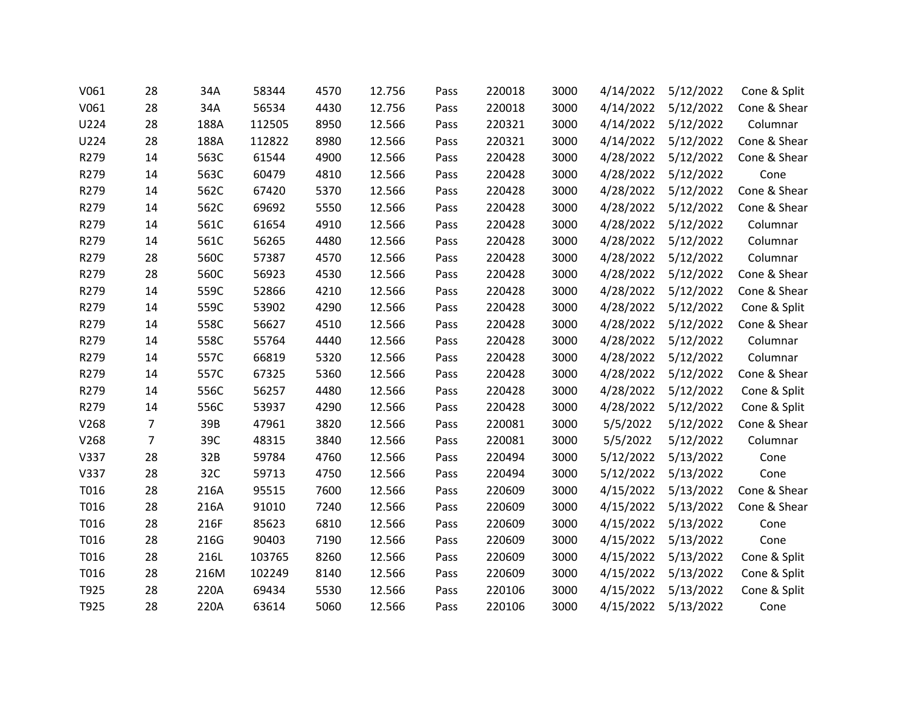| V061 | 28             | 34A  | 58344  | 4570 | 12.756 | Pass | 220018 | 3000 | 4/14/2022 | 5/12/2022 | Cone & Split |
|------|----------------|------|--------|------|--------|------|--------|------|-----------|-----------|--------------|
| V061 | 28             | 34A  | 56534  | 4430 | 12.756 | Pass | 220018 | 3000 | 4/14/2022 | 5/12/2022 | Cone & Shear |
| U224 | 28             | 188A | 112505 | 8950 | 12.566 | Pass | 220321 | 3000 | 4/14/2022 | 5/12/2022 | Columnar     |
| U224 | 28             | 188A | 112822 | 8980 | 12.566 | Pass | 220321 | 3000 | 4/14/2022 | 5/12/2022 | Cone & Shear |
| R279 | 14             | 563C | 61544  | 4900 | 12.566 | Pass | 220428 | 3000 | 4/28/2022 | 5/12/2022 | Cone & Shear |
| R279 | 14             | 563C | 60479  | 4810 | 12.566 | Pass | 220428 | 3000 | 4/28/2022 | 5/12/2022 | Cone         |
| R279 | 14             | 562C | 67420  | 5370 | 12.566 | Pass | 220428 | 3000 | 4/28/2022 | 5/12/2022 | Cone & Shear |
| R279 | 14             | 562C | 69692  | 5550 | 12.566 | Pass | 220428 | 3000 | 4/28/2022 | 5/12/2022 | Cone & Shear |
| R279 | 14             | 561C | 61654  | 4910 | 12.566 | Pass | 220428 | 3000 | 4/28/2022 | 5/12/2022 | Columnar     |
| R279 | 14             | 561C | 56265  | 4480 | 12.566 | Pass | 220428 | 3000 | 4/28/2022 | 5/12/2022 | Columnar     |
| R279 | 28             | 560C | 57387  | 4570 | 12.566 | Pass | 220428 | 3000 | 4/28/2022 | 5/12/2022 | Columnar     |
| R279 | 28             | 560C | 56923  | 4530 | 12.566 | Pass | 220428 | 3000 | 4/28/2022 | 5/12/2022 | Cone & Shear |
| R279 | 14             | 559C | 52866  | 4210 | 12.566 | Pass | 220428 | 3000 | 4/28/2022 | 5/12/2022 | Cone & Shear |
| R279 | 14             | 559C | 53902  | 4290 | 12.566 | Pass | 220428 | 3000 | 4/28/2022 | 5/12/2022 | Cone & Split |
| R279 | 14             | 558C | 56627  | 4510 | 12.566 | Pass | 220428 | 3000 | 4/28/2022 | 5/12/2022 | Cone & Shear |
| R279 | 14             | 558C | 55764  | 4440 | 12.566 | Pass | 220428 | 3000 | 4/28/2022 | 5/12/2022 | Columnar     |
| R279 | 14             | 557C | 66819  | 5320 | 12.566 | Pass | 220428 | 3000 | 4/28/2022 | 5/12/2022 | Columnar     |
| R279 | 14             | 557C | 67325  | 5360 | 12.566 | Pass | 220428 | 3000 | 4/28/2022 | 5/12/2022 | Cone & Shear |
| R279 | 14             | 556C | 56257  | 4480 | 12.566 | Pass | 220428 | 3000 | 4/28/2022 | 5/12/2022 | Cone & Split |
| R279 | 14             | 556C | 53937  | 4290 | 12.566 | Pass | 220428 | 3000 | 4/28/2022 | 5/12/2022 | Cone & Split |
| V268 | $\overline{7}$ | 39B  | 47961  | 3820 | 12.566 | Pass | 220081 | 3000 | 5/5/2022  | 5/12/2022 | Cone & Shear |
| V268 | $\overline{7}$ | 39C  | 48315  | 3840 | 12.566 | Pass | 220081 | 3000 | 5/5/2022  | 5/12/2022 | Columnar     |
| V337 | 28             | 32B  | 59784  | 4760 | 12.566 | Pass | 220494 | 3000 | 5/12/2022 | 5/13/2022 | Cone         |
| V337 | 28             | 32C  | 59713  | 4750 | 12.566 | Pass | 220494 | 3000 | 5/12/2022 | 5/13/2022 | Cone         |
| T016 | 28             | 216A | 95515  | 7600 | 12.566 | Pass | 220609 | 3000 | 4/15/2022 | 5/13/2022 | Cone & Shear |
| T016 | 28             | 216A | 91010  | 7240 | 12.566 | Pass | 220609 | 3000 | 4/15/2022 | 5/13/2022 | Cone & Shear |
| T016 | 28             | 216F | 85623  | 6810 | 12.566 | Pass | 220609 | 3000 | 4/15/2022 | 5/13/2022 | Cone         |
| T016 | 28             | 216G | 90403  | 7190 | 12.566 | Pass | 220609 | 3000 | 4/15/2022 | 5/13/2022 | Cone         |
| T016 | 28             | 216L | 103765 | 8260 | 12.566 | Pass | 220609 | 3000 | 4/15/2022 | 5/13/2022 | Cone & Split |
| T016 | 28             | 216M | 102249 | 8140 | 12.566 | Pass | 220609 | 3000 | 4/15/2022 | 5/13/2022 | Cone & Split |
| T925 | 28             | 220A | 69434  | 5530 | 12.566 | Pass | 220106 | 3000 | 4/15/2022 | 5/13/2022 | Cone & Split |
| T925 | 28             | 220A | 63614  | 5060 | 12.566 | Pass | 220106 | 3000 | 4/15/2022 | 5/13/2022 | Cone         |